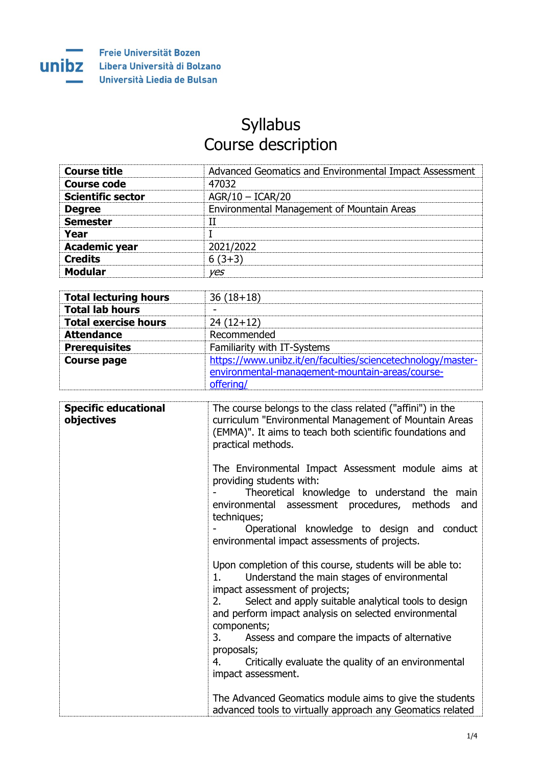

## Syllabus Course description

| <b>Course title</b>      | Advanced Geomatics and Environmental Impact Assessment |
|--------------------------|--------------------------------------------------------|
| <b>Course code</b>       | 47032                                                  |
| <b>Scientific sector</b> | $AGR/10 - ICAR/20$                                     |
| <b>Degree</b>            | Environmental Management of Mountain Areas             |
| <b>Semester</b>          |                                                        |
| Year                     |                                                        |
| <b>Academic year</b>     | 2021/2022                                              |
| <b>Credits</b>           | $6(3+3)$                                               |
| <b>Modular</b>           | ves                                                    |

| <b>Total lecturing hours</b> | $36(18+18)$                                                 |
|------------------------------|-------------------------------------------------------------|
| <b>Total lab hours</b>       |                                                             |
| <b>Total exercise hours</b>  | $24(12+12)$                                                 |
| <b>Attendance</b>            | Recommended                                                 |
| <b>Prerequisites</b>         | Familiarity with IT-Systems                                 |
| <b>Course page</b>           | https://www.unibz.it/en/faculties/sciencetechnology/master- |
|                              | environmental-management-mountain-areas/course-             |
|                              | offering/                                                   |

| <b>Specific educational</b><br>objectives | The course belongs to the class related ("affini") in the<br>curriculum "Environmental Management of Mountain Areas<br>(EMMA)". It aims to teach both scientific foundations and<br>practical methods.                                                                                                                                                                                                                                              |
|-------------------------------------------|-----------------------------------------------------------------------------------------------------------------------------------------------------------------------------------------------------------------------------------------------------------------------------------------------------------------------------------------------------------------------------------------------------------------------------------------------------|
|                                           | The Environmental Impact Assessment module aims at<br>providing students with:<br>Theoretical knowledge to understand the main<br>environmental assessment procedures, methods<br>and<br>techniques;<br>Operational knowledge to design and conduct<br>environmental impact assessments of projects.                                                                                                                                                |
|                                           | Upon completion of this course, students will be able to:<br>Understand the main stages of environmental<br>$1_{-}$<br>impact assessment of projects;<br>Select and apply suitable analytical tools to design<br>2.<br>and perform impact analysis on selected environmental<br>components;<br>Assess and compare the impacts of alternative<br>3.<br>proposals;<br>Critically evaluate the quality of an environmental<br>4.<br>impact assessment. |
|                                           | The Advanced Geomatics module aims to give the students<br>advanced tools to virtually approach any Geomatics related                                                                                                                                                                                                                                                                                                                               |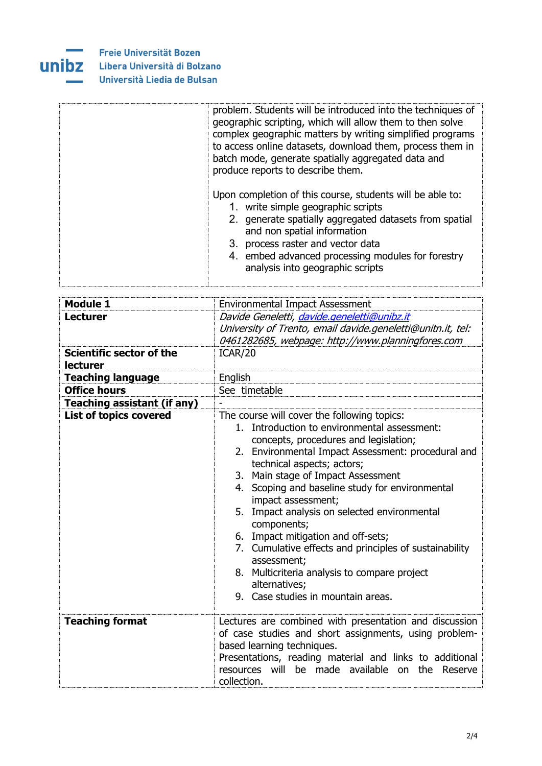

| problem. Students will be introduced into the techniques of<br>geographic scripting, which will allow them to then solve<br>complex geographic matters by writing simplified programs<br>to access online datasets, download them, process them in<br>batch mode, generate spatially aggregated data and<br>produce reports to describe them. |
|-----------------------------------------------------------------------------------------------------------------------------------------------------------------------------------------------------------------------------------------------------------------------------------------------------------------------------------------------|
| Upon completion of this course, students will be able to:<br>1. write simple geographic scripts<br>2. generate spatially aggregated datasets from spatial<br>and non spatial information<br>3. process raster and vector data<br>4. embed advanced processing modules for forestry<br>analysis into geographic scripts                        |

| <b>Module 1</b>                                    | <b>Environmental Impact Assessment</b>                                                                                                                                                                                                                                                                                                                                                                                                                                                                                                                                                                                       |
|----------------------------------------------------|------------------------------------------------------------------------------------------------------------------------------------------------------------------------------------------------------------------------------------------------------------------------------------------------------------------------------------------------------------------------------------------------------------------------------------------------------------------------------------------------------------------------------------------------------------------------------------------------------------------------------|
| <b>Lecturer</b>                                    | Davide Geneletti, davide.geneletti@unibz.it<br>University of Trento, email davide.geneletti@unitn.it, tel:<br>0461282685, webpage: http://www.planningfores.com                                                                                                                                                                                                                                                                                                                                                                                                                                                              |
| <b>Scientific sector of the</b><br><b>lecturer</b> | ICAR/20                                                                                                                                                                                                                                                                                                                                                                                                                                                                                                                                                                                                                      |
| <b>Teaching language</b>                           | English                                                                                                                                                                                                                                                                                                                                                                                                                                                                                                                                                                                                                      |
| <b>Office hours</b>                                | See timetable                                                                                                                                                                                                                                                                                                                                                                                                                                                                                                                                                                                                                |
| <b>Teaching assistant (if any)</b>                 |                                                                                                                                                                                                                                                                                                                                                                                                                                                                                                                                                                                                                              |
| <b>List of topics covered</b>                      | The course will cover the following topics:<br>1. Introduction to environmental assessment:<br>concepts, procedures and legislation;<br>2. Environmental Impact Assessment: procedural and<br>technical aspects; actors;<br>3. Main stage of Impact Assessment<br>4. Scoping and baseline study for environmental<br>impact assessment;<br>5. Impact analysis on selected environmental<br>components;<br>6. Impact mitigation and off-sets;<br>7. Cumulative effects and principles of sustainability<br>assessment;<br>8. Multicriteria analysis to compare project<br>alternatives;<br>9. Case studies in mountain areas. |
| <b>Teaching format</b>                             | Lectures are combined with presentation and discussion<br>of case studies and short assignments, using problem-<br>based learning techniques.<br>Presentations, reading material and links to additional<br>resources will be made available on the Reserve<br>collection.                                                                                                                                                                                                                                                                                                                                                   |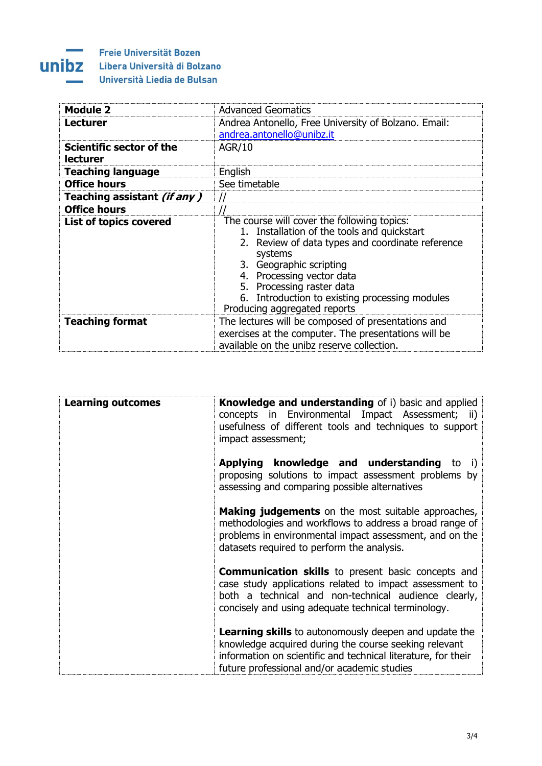## **Committee** unibz

Freie Universität Bozen Libera Università di Bolzano Università Liedia de Bulsan

| <b>Module 2</b>                      | <b>Advanced Geomatics</b>                                                                                                                                                                                                                                                                                                           |
|--------------------------------------|-------------------------------------------------------------------------------------------------------------------------------------------------------------------------------------------------------------------------------------------------------------------------------------------------------------------------------------|
| <b>Lecturer</b>                      | Andrea Antonello, Free University of Bolzano. Email:                                                                                                                                                                                                                                                                                |
|                                      | andrea.antonello@unibz.it                                                                                                                                                                                                                                                                                                           |
| Scientific sector of the<br>lecturer | <b>AGR/10</b>                                                                                                                                                                                                                                                                                                                       |
| <b>Teaching language</b>             | English                                                                                                                                                                                                                                                                                                                             |
| <b>Office hours</b>                  | See timetable                                                                                                                                                                                                                                                                                                                       |
| Teaching assistant <i>(if any)</i>   | $\prime\prime$                                                                                                                                                                                                                                                                                                                      |
| <b>Office hours</b>                  |                                                                                                                                                                                                                                                                                                                                     |
| <b>List of topics covered</b>        | The course will cover the following topics:<br>1. Installation of the tools and quickstart<br>Review of data types and coordinate reference<br>2.<br>systems<br>3. Geographic scripting<br>4. Processing vector data<br>5. Processing raster data<br>6. Introduction to existing processing modules<br>Producing aggregated reports |
| <b>Teaching format</b>               | The lectures will be composed of presentations and<br>exercises at the computer. The presentations will be<br>available on the unibz reserve collection.                                                                                                                                                                            |

| <b>Learning outcomes</b> | <b>Knowledge and understanding</b> of i) basic and applied<br>concepts in Environmental Impact Assessment; ii)<br>usefulness of different tools and techniques to support<br>impact assessment;                                       |
|--------------------------|---------------------------------------------------------------------------------------------------------------------------------------------------------------------------------------------------------------------------------------|
|                          | <b>Applying knowledge and understanding to</b><br>i)<br>proposing solutions to impact assessment problems by<br>assessing and comparing possible alternatives                                                                         |
|                          | <b>Making judgements</b> on the most suitable approaches,<br>methodologies and workflows to address a broad range of<br>problems in environmental impact assessment, and on the<br>datasets required to perform the analysis.         |
|                          | <b>Communication skills</b> to present basic concepts and<br>case study applications related to impact assessment to<br>both a technical and non-technical audience clearly,<br>concisely and using adequate technical terminology.   |
|                          | <b>Learning skills</b> to autonomously deepen and update the<br>knowledge acquired during the course seeking relevant<br>information on scientific and technical literature, for their<br>future professional and/or academic studies |